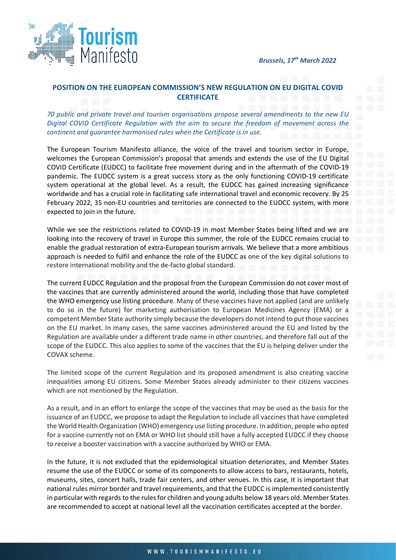



## **POSITION ON THE EUROPEAN COMMISSION'S NEW REGULATION ON EU DIGITAL COVID CERTIFICATE**

*70 public and private travel and tourism organisations propose several amendments to the new EU Digital COVID Certificate Regulation with the aim to secure the freedom of movement across the continent and guarantee harmonised rules when the Certificate is in use.*

The European Tourism Manifesto alliance, the voice of the travel and tourism sector in Europe, welcomes the European Commission's proposal that amends and extends the use of the EU Digital COVID Certificate (EUDCC) to facilitate free movement during and in the aftermath of the COVID-19 pandemic. The EUDCC system is a great success story as the only functioning COVID-19 certificate system operational at the global level. As a result, the EUDCC has gained increasing significance worldwide and has a crucial role in facilitating safe international travel and economic recovery. By 25 February 2022, 35 non-EU countries and territories are connected to the EUDCC system, with more expected to join in the future.

While we see the restrictions related to COVID-19 in most Member States being lifted and we are looking into the recovery of travel in Europe this summer, the role of the EUDCC remains crucial to enable the gradual restoration of extra-European tourism arrivals. We believe that a more ambitious approach is needed to fulfil and enhance the role of the EUDCC as one of the key digital solutions to restore international mobility and the de-facto global standard.

The current EUDCC Regulation and the proposal from the European Commission do not cover most of the vaccines that are currently administered around the world, including those that have completed the WHO emergency use listing procedure. Many of these vaccines have not applied (and are unlikely to do so in the future) for marketing authorisation to European Medicines Agency (EMA) or a competent Member State authority simply because the developers do not intend to put those vaccines on the EU market. In many cases, the same vaccines administered around the EU and listed by the Regulation are available under a different trade name in other countries, and therefore fall out of the scope of the EUDCC. This also applies to some of the vaccines that the EU is helping deliver under the COVAX scheme.

The limited scope of the current Regulation and its proposed amendment is also creating vaccine inequalities among EU citizens. Some Member States already administer to their citizens vaccines which are not mentioned by the Regulation.

As a result, and in an effort to enlarge the scope of the vaccines that may be used as the basis for the issuance of an EUDCC, we propose to adapt the Regulation to include all vaccines that have completed the World Health Organization (WHO) emergency use listing procedure. In addition, people who opted for a vaccine currently not on EMA or WHO list should still have a fully accepted EUDCC if they choose to receive a booster vaccination with a vaccine authorized by WHO or EMA.

In the future, it is not excluded that the epidemiological situation deteriorates, and Member States resume the use of the EUDCC or some of its components to allow access to bars, restaurants, hotels, museums, sites, concert halls, trade fair centers, and other venues. In this case, it is important that national rules mirror border and travel requirements, and that the EUDCC is implemented consistently in particular with regards to the rules for children and young adults below 18 years old. Member States are recommended to accept at national level all the vaccination certificates accepted at the border.

## WWW.TOURISMMANIFESTO.EU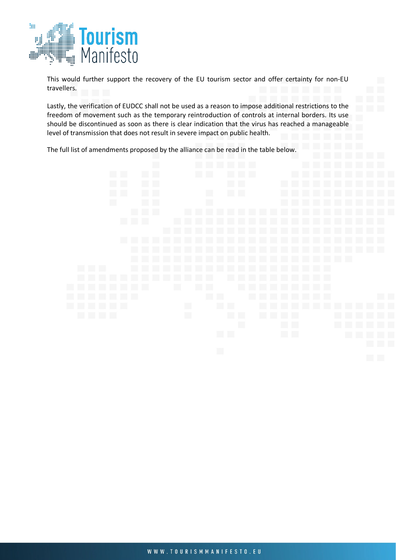

This would further support the recovery of the EU tourism sector and offer certainty for non-EU travellers.

Lastly, the verification of EUDCC shall not be used as a reason to impose additional restrictions to the freedom of movement such as the temporary reintroduction of controls at internal borders. Its use should be discontinued as soon as there is clear indication that the virus has reached a manageable level of transmission that does not result in severe impact on public health.

The full list of amendments proposed by the alliance can be read in the table below.

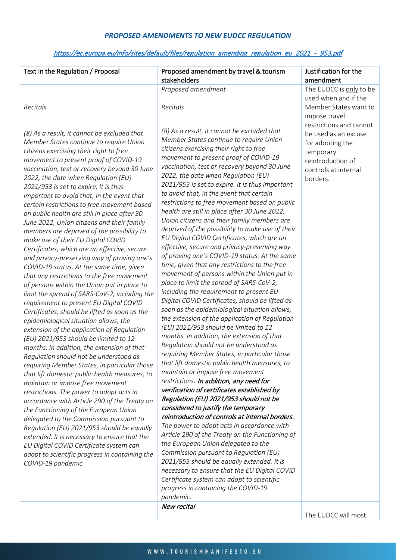## *PROPOSED AMENDMENTS TO NEW EUDCC REGULATION*

## [https://ec.europa.eu/info/sites/default/files/regulation\\_amending\\_regulation\\_eu\\_2021\\_-\\_953.pdf](https://ec.europa.eu/info/sites/default/files/regulation_amending_regulation_eu_2021_-_953.pdf)

| Text in the Regulation / Proposal                                                                                                                                                                                                                                                                                                                                                                                                                                                                                                                                                                                                                                                                                                                                                                                                                                                                                                                                                                                                                                                                                                                                                                                                                                                                                                                                                                                                                                                                                                                                                                                                                                                                                                            | Proposed amendment by travel & tourism<br>stakeholders                                                                                                                                                                                                                                                                                                                                                                                                                                                                                                                                                                                                                                                                                                                                                                                                                                                                                                                                                                                                                                                                                                                                                                                                                                                                                                                                                                                                                                                                                                                                                                                                                                                                                                                                                                                                  | Justification for the<br>amendment                                                                                                                         |
|----------------------------------------------------------------------------------------------------------------------------------------------------------------------------------------------------------------------------------------------------------------------------------------------------------------------------------------------------------------------------------------------------------------------------------------------------------------------------------------------------------------------------------------------------------------------------------------------------------------------------------------------------------------------------------------------------------------------------------------------------------------------------------------------------------------------------------------------------------------------------------------------------------------------------------------------------------------------------------------------------------------------------------------------------------------------------------------------------------------------------------------------------------------------------------------------------------------------------------------------------------------------------------------------------------------------------------------------------------------------------------------------------------------------------------------------------------------------------------------------------------------------------------------------------------------------------------------------------------------------------------------------------------------------------------------------------------------------------------------------|---------------------------------------------------------------------------------------------------------------------------------------------------------------------------------------------------------------------------------------------------------------------------------------------------------------------------------------------------------------------------------------------------------------------------------------------------------------------------------------------------------------------------------------------------------------------------------------------------------------------------------------------------------------------------------------------------------------------------------------------------------------------------------------------------------------------------------------------------------------------------------------------------------------------------------------------------------------------------------------------------------------------------------------------------------------------------------------------------------------------------------------------------------------------------------------------------------------------------------------------------------------------------------------------------------------------------------------------------------------------------------------------------------------------------------------------------------------------------------------------------------------------------------------------------------------------------------------------------------------------------------------------------------------------------------------------------------------------------------------------------------------------------------------------------------------------------------------------------------|------------------------------------------------------------------------------------------------------------------------------------------------------------|
|                                                                                                                                                                                                                                                                                                                                                                                                                                                                                                                                                                                                                                                                                                                                                                                                                                                                                                                                                                                                                                                                                                                                                                                                                                                                                                                                                                                                                                                                                                                                                                                                                                                                                                                                              | Proposed amendment                                                                                                                                                                                                                                                                                                                                                                                                                                                                                                                                                                                                                                                                                                                                                                                                                                                                                                                                                                                                                                                                                                                                                                                                                                                                                                                                                                                                                                                                                                                                                                                                                                                                                                                                                                                                                                      | The EUDCC is only to be                                                                                                                                    |
|                                                                                                                                                                                                                                                                                                                                                                                                                                                                                                                                                                                                                                                                                                                                                                                                                                                                                                                                                                                                                                                                                                                                                                                                                                                                                                                                                                                                                                                                                                                                                                                                                                                                                                                                              |                                                                                                                                                                                                                                                                                                                                                                                                                                                                                                                                                                                                                                                                                                                                                                                                                                                                                                                                                                                                                                                                                                                                                                                                                                                                                                                                                                                                                                                                                                                                                                                                                                                                                                                                                                                                                                                         | used when and if the                                                                                                                                       |
| Recitals                                                                                                                                                                                                                                                                                                                                                                                                                                                                                                                                                                                                                                                                                                                                                                                                                                                                                                                                                                                                                                                                                                                                                                                                                                                                                                                                                                                                                                                                                                                                                                                                                                                                                                                                     | Recitals                                                                                                                                                                                                                                                                                                                                                                                                                                                                                                                                                                                                                                                                                                                                                                                                                                                                                                                                                                                                                                                                                                                                                                                                                                                                                                                                                                                                                                                                                                                                                                                                                                                                                                                                                                                                                                                | Member States want to                                                                                                                                      |
|                                                                                                                                                                                                                                                                                                                                                                                                                                                                                                                                                                                                                                                                                                                                                                                                                                                                                                                                                                                                                                                                                                                                                                                                                                                                                                                                                                                                                                                                                                                                                                                                                                                                                                                                              |                                                                                                                                                                                                                                                                                                                                                                                                                                                                                                                                                                                                                                                                                                                                                                                                                                                                                                                                                                                                                                                                                                                                                                                                                                                                                                                                                                                                                                                                                                                                                                                                                                                                                                                                                                                                                                                         |                                                                                                                                                            |
| (8) As a result, it cannot be excluded that<br>Member States continue to require Union<br>citizens exercising their right to free<br>movement to present proof of COVID-19<br>vaccination, test or recovery beyond 30 June<br>2022, the date when Regulation (EU)<br>2021/953 is set to expire. It is thus<br>important to avoid that, in the event that<br>certain restrictions to free movement based<br>on public health are still in place after 30<br>June 2022, Union citizens and their family<br>members are deprived of the possibility to<br>make use of their EU Digital COVID<br>Certificates, which are an effective, secure<br>and privacy-preserving way of proving one's<br>COVID-19 status. At the same time, given<br>that any restrictions to the free movement<br>of persons within the Union put in place to<br>limit the spread of SARS-CoV-2, including the<br>requirement to present EU Digital COVID<br>Certificates, should be lifted as soon as the<br>epidemiological situation allows, the<br>extension of the application of Regulation<br>(EU) 2021/953 should be limited to 12<br>months. In addition, the extension of that<br>Regulation should not be understood as<br>requiring Member States, in particular those<br>that lift domestic public health measures, to<br>maintain or impose free movement<br>restrictions. The power to adopt acts in<br>accordance with Article 290 of the Treaty on<br>the Functioning of the European Union<br>delegated to the Commission pursuant to<br>Regulation (EU) 2021/953 should be equally<br>extended. It is necessary to ensure that the<br>EU Digital COVID Certificate system can<br>adapt to scientific progress in containing the<br>COVID-19 pandemic. | (8) As a result, it cannot be excluded that<br>Member States continue to require Union<br>citizens exercising their right to free<br>movement to present proof of COVID-19<br>vaccination, test or recovery beyond 30 June<br>2022, the date when Regulation (EU)<br>2021/953 is set to expire. It is thus important<br>to avoid that, in the event that certain<br>restrictions to free movement based on public<br>health are still in place after 30 June 2022,<br>Union citizens and their family members are<br>deprived of the possibility to make use of their<br>EU Digital COVID Certificates, which are an<br>effective, secure and privacy-preserving way<br>of proving one's COVID-19 status. At the same<br>time, given that any restrictions to the free<br>movement of persons within the Union put in<br>place to limit the spread of SARS-CoV-2,<br>including the requirement to present EU<br>Digital COVID Certificates, should be lifted as<br>soon as the epidemiological situation allows,<br>the extension of the application of Regulation<br>(EU) 2021/953 should be limited to 12<br>months. In addition, the extension of that<br>Regulation should not be understood as<br>requiring Member States, in particular those<br>that lift domestic public health measures, to<br>maintain or impose free movement<br>restrictions. In addition, any need for<br>verification of certificates established by<br>Regulation (EU) 2021/953 should not be<br>considered to justify the temporary<br>reintroduction of controls at internal borders.<br>The power to adopt acts in accordance with<br>Article 290 of the Treaty on the Functioning of<br>the European Union delegated to the<br>Commission pursuant to Regulation (EU)<br>2021/953 should be equally extended. It is<br>necessary to ensure that the EU Digital COVID | impose travel<br>restrictions and cannot<br>be used as an excuse<br>for adopting the<br>temporary<br>reintroduction of<br>controls at internal<br>borders. |
|                                                                                                                                                                                                                                                                                                                                                                                                                                                                                                                                                                                                                                                                                                                                                                                                                                                                                                                                                                                                                                                                                                                                                                                                                                                                                                                                                                                                                                                                                                                                                                                                                                                                                                                                              | Certificate system can adapt to scientific                                                                                                                                                                                                                                                                                                                                                                                                                                                                                                                                                                                                                                                                                                                                                                                                                                                                                                                                                                                                                                                                                                                                                                                                                                                                                                                                                                                                                                                                                                                                                                                                                                                                                                                                                                                                              |                                                                                                                                                            |
|                                                                                                                                                                                                                                                                                                                                                                                                                                                                                                                                                                                                                                                                                                                                                                                                                                                                                                                                                                                                                                                                                                                                                                                                                                                                                                                                                                                                                                                                                                                                                                                                                                                                                                                                              | progress in containing the COVID-19                                                                                                                                                                                                                                                                                                                                                                                                                                                                                                                                                                                                                                                                                                                                                                                                                                                                                                                                                                                                                                                                                                                                                                                                                                                                                                                                                                                                                                                                                                                                                                                                                                                                                                                                                                                                                     |                                                                                                                                                            |
|                                                                                                                                                                                                                                                                                                                                                                                                                                                                                                                                                                                                                                                                                                                                                                                                                                                                                                                                                                                                                                                                                                                                                                                                                                                                                                                                                                                                                                                                                                                                                                                                                                                                                                                                              | pandemic.                                                                                                                                                                                                                                                                                                                                                                                                                                                                                                                                                                                                                                                                                                                                                                                                                                                                                                                                                                                                                                                                                                                                                                                                                                                                                                                                                                                                                                                                                                                                                                                                                                                                                                                                                                                                                                               |                                                                                                                                                            |
|                                                                                                                                                                                                                                                                                                                                                                                                                                                                                                                                                                                                                                                                                                                                                                                                                                                                                                                                                                                                                                                                                                                                                                                                                                                                                                                                                                                                                                                                                                                                                                                                                                                                                                                                              | New recital                                                                                                                                                                                                                                                                                                                                                                                                                                                                                                                                                                                                                                                                                                                                                                                                                                                                                                                                                                                                                                                                                                                                                                                                                                                                                                                                                                                                                                                                                                                                                                                                                                                                                                                                                                                                                                             |                                                                                                                                                            |
|                                                                                                                                                                                                                                                                                                                                                                                                                                                                                                                                                                                                                                                                                                                                                                                                                                                                                                                                                                                                                                                                                                                                                                                                                                                                                                                                                                                                                                                                                                                                                                                                                                                                                                                                              |                                                                                                                                                                                                                                                                                                                                                                                                                                                                                                                                                                                                                                                                                                                                                                                                                                                                                                                                                                                                                                                                                                                                                                                                                                                                                                                                                                                                                                                                                                                                                                                                                                                                                                                                                                                                                                                         | The EUDCC will most                                                                                                                                        |

WWW.TOURISMMANIFESTO.EU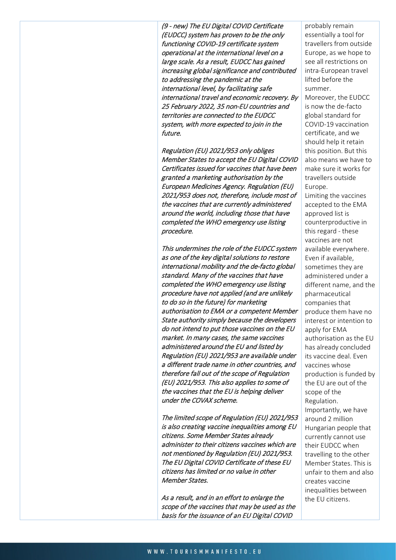(9 - new) The EU Digital COVID Certificate (EUDCC) system has proven to be the only functioning COVID-19 certificate system operational at the international level on a large scale. As a result, EUDCC has gained increasing global significance and contributed to addressing the pandemic at the international level, by facilitating safe international travel and economic recovery. By 25 February 2022, 35 non-EU countries and territories are connected to the EUDCC system, with more expected to join in the future.

Regulation (EU) 2021/953 only obliges Member States to accept the EU Digital COVID Certificates issued for vaccines that have been granted a marketing authorisation by the European Medicines Agency. Regulation (EU) 2021/953 does not, therefore, include most of the vaccines that are currently administered around the world, including those that have completed the WHO emergency use listing procedure.

This undermines the role of the EUDCC system as one of the key digital solutions to restore international mobility and the de-facto global standard. Many of the vaccines that have completed the WHO emergency use listing procedure have not applied (and are unlikely to do so in the future) for marketing authorisation to EMA or a competent Member State authority simply because the developers do not intend to put those vaccines on the EU market. In many cases, the same vaccines administered around the EU and listed by Regulation (EU) 2021/953 are available under a different trade name in other countries, and therefore fall out of the scope of Regulation (EU) 2021/953. This also applies to some of the vaccines that the EU is helping deliver under the COVAX scheme.

The limited scope of Regulation (EU) 2021/953 is also creating vaccine inequalities among EU citizens. Some Member States already administer to their citizens vaccines which are not mentioned by Regulation (EU) 2021/953. The EU Digital COVID Certificate of these EU citizens has limited or no value in other Member States.

As a result, and in an effort to enlarge the scope of the vaccines that may be used as the basis for the issuance of an EU Digital COVID

probably remain essentially a tool for travellers from outside Europe, as we hope to see all restrictions on intra-European travel lifted before the summer.

Moreover, the EUDCC is now the de-facto global standard for COVID-19 vaccination certificate, and we should help it retain this position. But this also means we have to make sure it works for travellers outside Europe.

Limiting the vaccines accepted to the EMA approved list is counterproductive in this regard - these vaccines are not available everywhere. Even if available, sometimes they are administered under a different name, and the pharmaceutical companies that produce them have no interest or intention to apply for EMA authorisation as the EU has already concluded its vaccine deal. Even vaccines whose production is funded by the EU are out of the scope of the Regulation. Importantly, we have around 2 million Hungarian people that currently cannot use their EUDCC when travelling to the other Member States. This is unfair to them and also creates vaccine inequalities between the EU citizens.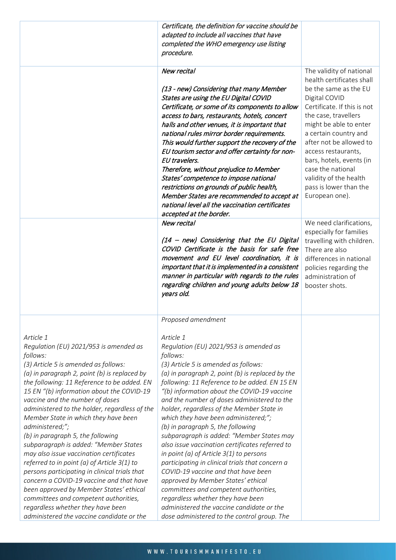|                                                                                                                                                                                                                                                                                                                                                                                                                                                                                                                                                                                                                                                                                                                                                                                                                                               | Certificate, the definition for vaccine should be<br>adapted to include all vaccines that have<br>completed the WHO emergency use listing<br>procedure.                                                                                                                                                                                                                                                                                                                                                                                                                                                                                                                                                                                                                                                                                                                                                           |                                                                                                                                                                                                                                                                                                                                                                                    |
|-----------------------------------------------------------------------------------------------------------------------------------------------------------------------------------------------------------------------------------------------------------------------------------------------------------------------------------------------------------------------------------------------------------------------------------------------------------------------------------------------------------------------------------------------------------------------------------------------------------------------------------------------------------------------------------------------------------------------------------------------------------------------------------------------------------------------------------------------|-------------------------------------------------------------------------------------------------------------------------------------------------------------------------------------------------------------------------------------------------------------------------------------------------------------------------------------------------------------------------------------------------------------------------------------------------------------------------------------------------------------------------------------------------------------------------------------------------------------------------------------------------------------------------------------------------------------------------------------------------------------------------------------------------------------------------------------------------------------------------------------------------------------------|------------------------------------------------------------------------------------------------------------------------------------------------------------------------------------------------------------------------------------------------------------------------------------------------------------------------------------------------------------------------------------|
|                                                                                                                                                                                                                                                                                                                                                                                                                                                                                                                                                                                                                                                                                                                                                                                                                                               | New recital<br>(13 - new) Considering that many Member<br>States are using the EU Digital COVID<br>Certificate, or some of its components to allow<br>access to bars, restaurants, hotels, concert<br>halls and other venues, it is important that<br>national rules mirror border requirements.<br>This would further support the recovery of the<br>EU tourism sector and offer certainty for non-<br>EU travelers.<br>Therefore, without prejudice to Member<br>States' competence to impose national<br>restrictions on grounds of public health,<br>Member States are recommended to accept at<br>national level all the vaccination certificates<br>accepted at the border.                                                                                                                                                                                                                                 | The validity of national<br>health certificates shall<br>be the same as the EU<br>Digital COVID<br>Certificate. If this is not<br>the case, travellers<br>might be able to enter<br>a certain country and<br>after not be allowed to<br>access restaurants,<br>bars, hotels, events (in<br>case the national<br>validity of the health<br>pass is lower than the<br>European one). |
|                                                                                                                                                                                                                                                                                                                                                                                                                                                                                                                                                                                                                                                                                                                                                                                                                                               | New recital<br>(14 - new) Considering that the EU Digital<br>COVID Certificate is the basis for safe free<br>movement and EU level coordination, it is<br>important that it is implemented in a consistent<br>manner in particular with regards to the rules<br>regarding children and young adults below 18<br>years old.                                                                                                                                                                                                                                                                                                                                                                                                                                                                                                                                                                                        | We need clarifications,<br>especially for families<br>travelling with children.<br>There are also<br>differences in national<br>policies regarding the<br>administration of<br>booster shots.                                                                                                                                                                                      |
| Article 1<br>Regulation (EU) 2021/953 is amended as<br>follows:<br>(3) Article 5 is amended as follows:<br>(a) in paragraph 2, point (b) is replaced by<br>the following: 11 Reference to be added. EN<br>15 EN "(b) information about the COVID-19<br>vaccine and the number of doses<br>administered to the holder, regardless of the<br>Member State in which they have been<br>administered;";<br>(b) in paragraph 5, the following<br>subparagraph is added: "Member States<br>may also issue vaccination certificates<br>referred to in point (a) of Article 3(1) to<br>persons participating in clinical trials that<br>concern a COVID-19 vaccine and that have<br>been approved by Member States' ethical<br>committees and competent authorities,<br>regardless whether they have been<br>administered the vaccine candidate or the | Proposed amendment<br>Article 1<br>Regulation (EU) 2021/953 is amended as<br>follows:<br>(3) Article 5 is amended as follows:<br>(a) in paragraph 2, point (b) is replaced by the<br>following: 11 Reference to be added. EN 15 EN<br>"(b) information about the COVID-19 vaccine<br>and the number of doses administered to the<br>holder, regardless of the Member State in<br>which they have been administered;";<br>(b) in paragraph 5, the following<br>subparagraph is added: "Member States may<br>also issue vaccination certificates referred to<br>in point (a) of Article $3(1)$ to persons<br>participating in clinical trials that concern a<br>COVID-19 vaccine and that have been<br>approved by Member States' ethical<br>committees and competent authorities,<br>regardless whether they have been<br>administered the vaccine candidate or the<br>dose administered to the control group. The |                                                                                                                                                                                                                                                                                                                                                                                    |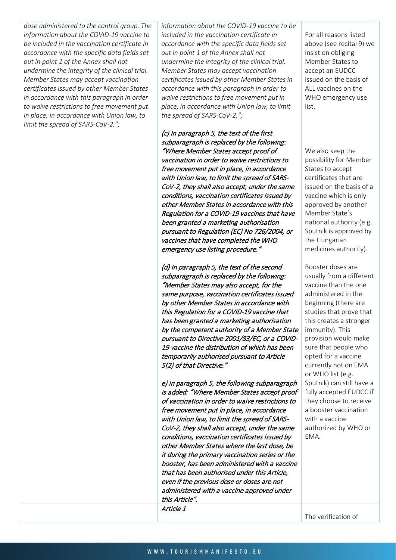*dose administered to the control group. The information about the COVID-19 vaccine to be included in the vaccination certificate in accordance with the specific data fields set out in point 1 of the Annex shall not undermine the integrity of the clinical trial. Member States may accept vaccination certificates issued by other Member States in accordance with this paragraph in order to waive restrictions to free movement put in place, in accordance with Union law, to limit the spread of SARS-CoV-2.";*

*information about the COVID-19 vaccine to be included in the vaccination certificate in accordance with the specific data fields set out in point 1 of the Annex shall not undermine the integrity of the clinical trial. Member States may accept vaccination certificates issued by other Member States in accordance with this paragraph in order to waive restrictions to free movement put in place, in accordance with Union law, to limit the spread of SARS-CoV-2.";*

(c) In paragraph 5, the text of the first subparagraph is replaced by the following: "Where Member States accept proof of vaccination in order to waive restrictions to free movement put in place, in accordance with Union law, to limit the spread of SARS-CoV-2, they shall also accept, under the same conditions, vaccination certificates issued by other Member States in accordance with this Regulation for a COVID-19 vaccines that have been granted a marketing authorisation pursuant to Regulation (EC) No 726/2004, or vaccines that have completed the WHO emergency use listing procedure."

(d) In paragraph 5, the text of the second subparagraph is replaced by the following: "Member States may also accept, for the same purpose, vaccination certificates issued by other Member States in accordance with this Regulation for a COVID-19 vaccine that has been granted a marketing authorisation by the competent authority of a Member State pursuant to Directive 2001/83/EC, or a COVID-19 vaccine the distribution of which has been temporarily authorised pursuant to Article 5(2) of that Directive."

e) In paragraph 5, the following subparagraph is added: "Where Member States accept proof of vaccination in order to waive restrictions to free movement put in place, in accordance with Union law, to limit the spread of SARS-CoV-2, they shall also accept, under the same conditions, vaccination certificates issued by other Member States where the last dose, be it during the primary vaccination series or the booster, has been administered with a vaccine that has been authorised under this Article, even if the previous dose or doses are not administered with a vaccine approved under this Article". Article 1

For all reasons listed above (see recital 9) we insist on obliging Member States to accept an EUDCC issued on the basis of ALL vaccines on the WHO emergency use list.

We also keep the possibility for Member States to accept certificates that are issued on the basis of a vaccine which is only approved by another Member State's national authority (e.g. Sputnik is approved by the Hungarian medicines authority).

Booster doses are usually from a different vaccine than the one administered in the beginning (there are studies that prove that this creates a stronger immunity). This provision would make sure that people who opted for a vaccine currently not on EMA or WHO list (e.g. Sputnik) can still have a fully accepted EUDCC if they choose to receive a booster vaccination with a vaccine authorized by WHO or EMA.

The verification of